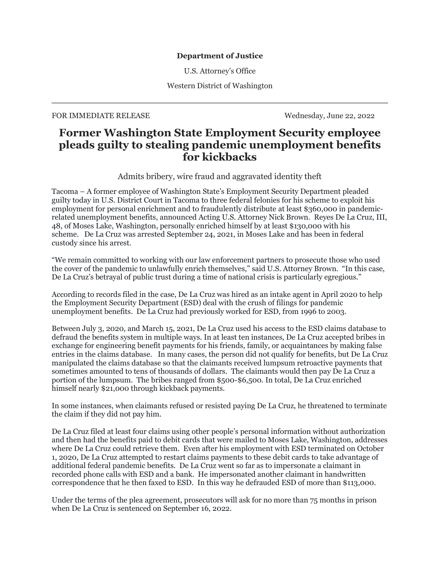## **Department of Justice**

U.S. Attorney's Office

Western District of Washington

## FOR IMMEDIATE RELEASE Wednesday, June 22, 2022

# **Former Washington State Employment Security employee pleads guilty to stealing pandemic unemployment benefits for kickbacks**

Admits bribery, wire fraud and aggravated identity theft

Tacoma – A former employee of Washington State's Employment Security Department pleaded guilty today in U.S. District Court in Tacoma to three federal felonies for his scheme to exploit his employment for personal enrichment and to fraudulently distribute at least \$360,000 in pandemicrelated unemployment benefits, announced Acting U.S. Attorney Nick Brown. Reyes De La Cruz, III, 48, of Moses Lake, Washington, personally enriched himself by at least \$130,000 with his scheme. De La Cruz was arrested September 24, 2021, in Moses Lake and has been in federal custody since his arrest.

"We remain committed to working with our law enforcement partners to prosecute those who used the cover of the pandemic to unlawfully enrich themselves," said U.S. Attorney Brown. "In this case, De La Cruz's betrayal of public trust during a time of national crisis is particularly egregious."

According to records filed in the case, De La Cruz was hired as an intake agent in April 2020 to help the Employment Security Department (ESD) deal with the crush of filings for pandemic unemployment benefits. De La Cruz had previously worked for ESD, from 1996 to 2003.

Between July 3, 2020, and March 15, 2021, De La Cruz used his access to the ESD claims database to defraud the benefits system in multiple ways. In at least ten instances, De La Cruz accepted bribes in exchange for engineering benefit payments for his friends, family, or acquaintances by making false entries in the claims database. In many cases, the person did not qualify for benefits, but De La Cruz manipulated the claims database so that the claimants received lumpsum retroactive payments that sometimes amounted to tens of thousands of dollars. The claimants would then pay De La Cruz a portion of the lumpsum. The bribes ranged from \$500-\$6,500. In total, De La Cruz enriched himself nearly \$21,000 through kickback payments.

In some instances, when claimants refused or resisted paying De La Cruz, he threatened to terminate the claim if they did not pay him.

De La Cruz filed at least four claims using other people's personal information without authorization and then had the benefits paid to debit cards that were mailed to Moses Lake, Washington, addresses where De La Cruz could retrieve them. Even after his employment with ESD terminated on October 1, 2020, De La Cruz attempted to restart claims payments to these debit cards to take advantage of additional federal pandemic benefits. De La Cruz went so far as to impersonate a claimant in recorded phone calls with ESD and a bank. He impersonated another claimant in handwritten correspondence that he then faxed to ESD. In this way he defrauded ESD of more than \$113,000.

Under the terms of the plea agreement, prosecutors will ask for no more than 75 months in prison when De La Cruz is sentenced on September 16, 2022.